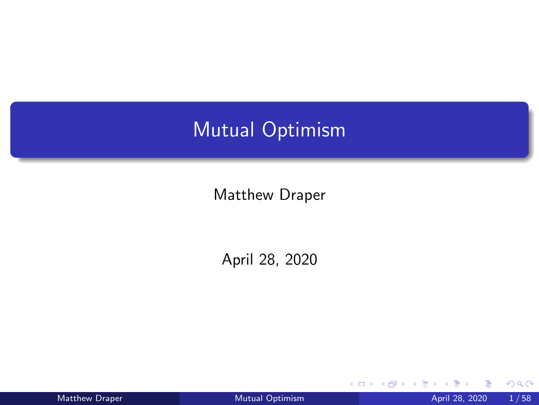# <span id="page-0-0"></span>Mutual Optimism

Matthew Draper

April 28, 2020

|  |  |  | <b>Matthew Draper</b> |  |  |  |
|--|--|--|-----------------------|--|--|--|
|--|--|--|-----------------------|--|--|--|

4 0 8 4

 $298$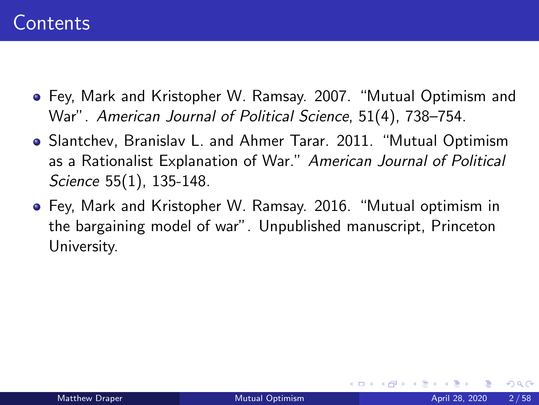- Fey, Mark and Kristopher W. Ramsay. 2007. "Mutual Optimism and War". American Journal of Political Science, 51(4), 738–754.
- Slantchev, Branislav L. and Ahmer Tarar. 2011. "Mutual Optimism as a Rationalist Explanation of War." American Journal of Political Science 55(1), 135-148.
- Fey, Mark and Kristopher W. Ramsay. 2016. "Mutual optimism in the bargaining model of war". Unpublished manuscript, Princeton University.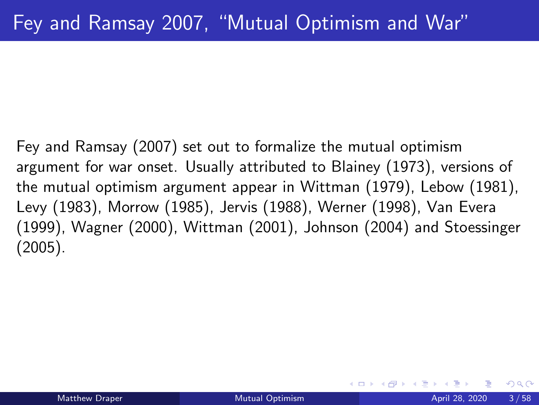Fey and Ramsay (2007) set out to formalize the mutual optimism argument for war onset. Usually attributed to Blainey (1973), versions of the mutual optimism argument appear in Wittman (1979), Lebow (1981), Levy (1983), Morrow (1985), Jervis (1988), Werner (1998), Van Evera (1999), Wagner (2000), Wittman (2001), Johnson (2004) and Stoessinger (2005).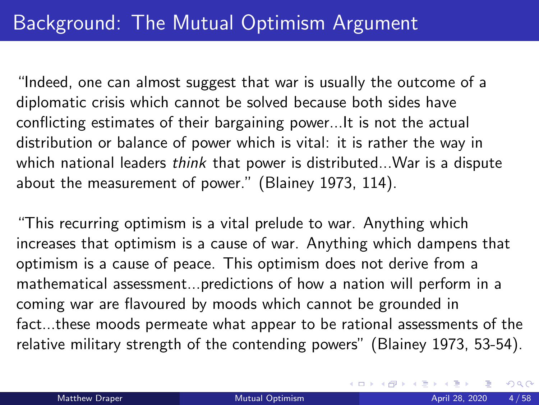# Background: The Mutual Optimism Argument

"Indeed, one can almost suggest that war is usually the outcome of a diplomatic crisis which cannot be solved because both sides have conflicting estimates of their bargaining power...It is not the actual distribution or balance of power which is vital: it is rather the way in which national leaders think that power is distributed... War is a dispute about the measurement of power." (Blainey 1973, 114).

"This recurring optimism is a vital prelude to war. Anything which increases that optimism is a cause of war. Anything which dampens that optimism is a cause of peace. This optimism does not derive from a mathematical assessment...predictions of how a nation will perform in a coming war are flavoured by moods which cannot be grounded in fact...these moods permeate what appear to be rational assessments of the relative military strength of the contending powers" (Blainey 1973, 53-54).

 $QQ$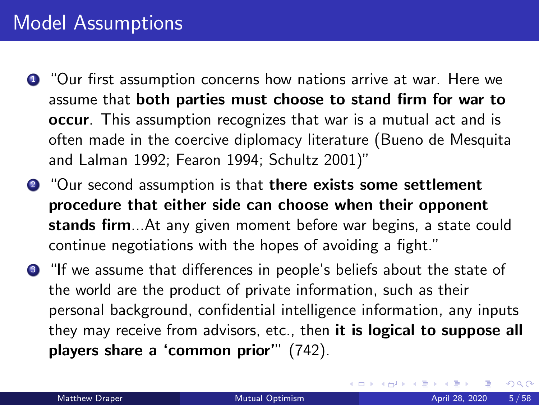## Model Assumptions

- **1** "Our first assumption concerns how nations arrive at war. Here we assume that both parties must choose to stand firm for war to occur. This assumption recognizes that war is a mutual act and is often made in the coercive diplomacy literature (Bueno de Mesquita and Lalman 1992; Fearon 1994; Schultz 2001)"
- **2** "Our second assumption is that there exists some settlement procedure that either side can choose when their opponent stands firm...At any given moment before war begins, a state could continue negotiations with the hopes of avoiding a fight."
- <sup>3</sup> "If we assume that differences in people's beliefs about the state of the world are the product of private information, such as their personal background, confidential intelligence information, any inputs they may receive from advisors, etc., then it is logical to suppose all players share a 'common prior'" (742).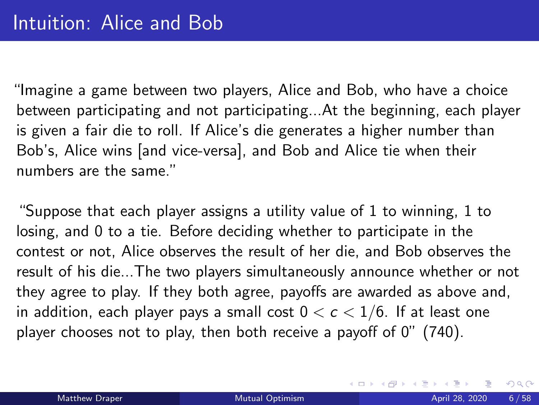"Imagine a game between two players, Alice and Bob, who have a choice between participating and not participating...At the beginning, each player is given a fair die to roll. If Alice's die generates a higher number than Bob's, Alice wins [and vice-versa], and Bob and Alice tie when their numbers are the same."

"Suppose that each player assigns a utility value of 1 to winning, 1 to losing, and 0 to a tie. Before deciding whether to participate in the contest or not, Alice observes the result of her die, and Bob observes the result of his die...The two players simultaneously announce whether or not they agree to play. If they both agree, payoffs are awarded as above and, in addition, each player pays a small cost  $0 < c < 1/6$ . If at least one player chooses not to play, then both receive a payoff of 0" (740).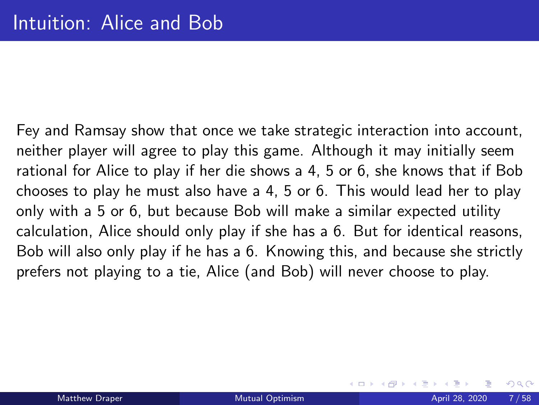Fey and Ramsay show that once we take strategic interaction into account, neither player will agree to play this game. Although it may initially seem rational for Alice to play if her die shows a 4, 5 or 6, she knows that if Bob chooses to play he must also have a 4, 5 or 6. This would lead her to play only with a 5 or 6, but because Bob will make a similar expected utility calculation, Alice should only play if she has a 6. But for identical reasons, Bob will also only play if he has a 6. Knowing this, and because she strictly prefers not playing to a tie, Alice (and Bob) will never choose to play.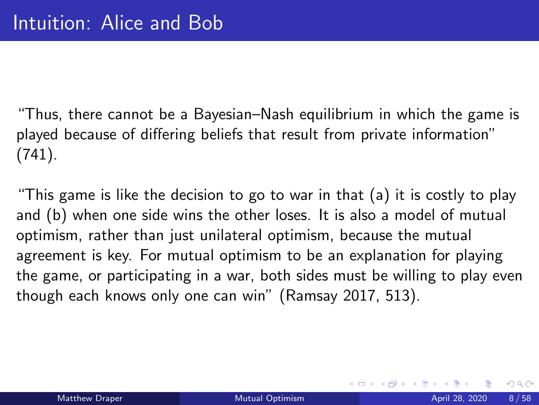"Thus, there cannot be a Bayesian–Nash equilibrium in which the game is played because of differing beliefs that result from private information" (741).

"This game is like the decision to go to war in that (a) it is costly to play and (b) when one side wins the other loses. It is also a model of mutual optimism, rather than just unilateral optimism, because the mutual agreement is key. For mutual optimism to be an explanation for playing the game, or participating in a war, both sides must be willing to play even though each knows only one can win" (Ramsay 2017, 513).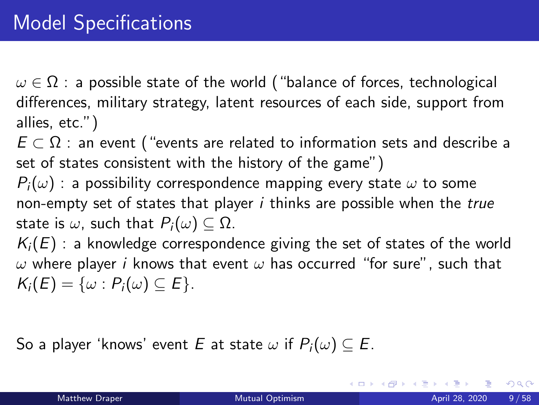$\omega \in \Omega$  : a possible state of the world ("balance of forces, technological differences, military strategy, latent resources of each side, support from allies, etc.")

 $E \subset \Omega$ : an event ("events are related to information sets and describe a set of states consistent with the history of the game")

 $P_i(\omega)$  : a possibility correspondence mapping every state  $\omega$  to some non-empty set of states that player  $i$  thinks are possible when the true state is  $\omega$ , such that  $P_i(\omega) \subseteq \Omega$ .

 $K_i(E)$  : a knowledge correspondence giving the set of states of the world  $\omega$  where player *i* knows that event  $\omega$  has occurred "for sure", such that  $K_i(E) = \{\omega : P_i(\omega) \subseteq E\}.$ 

So a player 'knows' event E at state  $\omega$  if  $P_i(\omega) \subseteq E$ .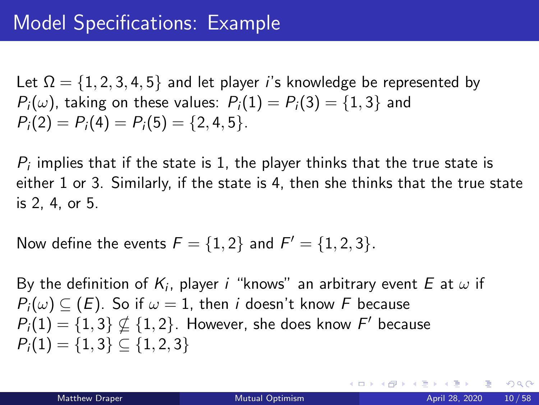Let  $\Omega = \{1, 2, 3, 4, 5\}$  and let player *i's* knowledge be represented by  $P_i(\omega)$ , taking on these values:  $P_i(1) = P_i(3) = \{1,3\}$  and  $P_i(2) = P_i(4) = P_i(5) = \{2, 4, 5\}.$ 

 $P_i$  implies that if the state is 1, the player thinks that the true state is either 1 or 3. Similarly, if the state is 4, then she thinks that the true state is 2, 4, or 5.

Now define the events  $F = \{1, 2\}$  and  $F' = \{1, 2, 3\}.$ 

By the definition of  $\mathcal{K}_i$ , player  $i$  "knows" an arbitrary event  $E$  at  $\omega$  if  $P_i(\omega) \subseteq (E)$ . So if  $\omega = 1$ , then *i* doesn't know F because  $P_i(1)=\{1,3\}\nsubseteq \{1,2\}.$  However, she does know  $F'$  because  $P_i(1) = \{1, 3\} \subset \{1, 2, 3\}$ 

∢ ロ ▶ - ∢ 母 ▶ - ∢ ヨ ▶ -∢ ヨ ▶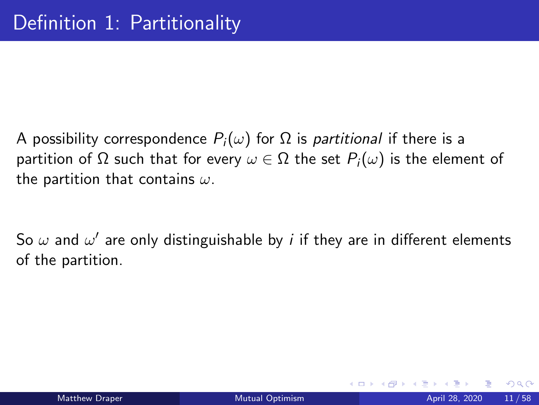A possibility correspondence  $P_i(\omega)$  for  $\Omega$  is *partitional* if there is a partition of Ω such that for every  $\omega \in \Omega$  the set  $P_i(\omega)$  is the element of the partition that contains  $\omega$ .

So  $\omega$  and  $\omega'$  are only distinguishable by  $i$  if they are in different elements of the partition.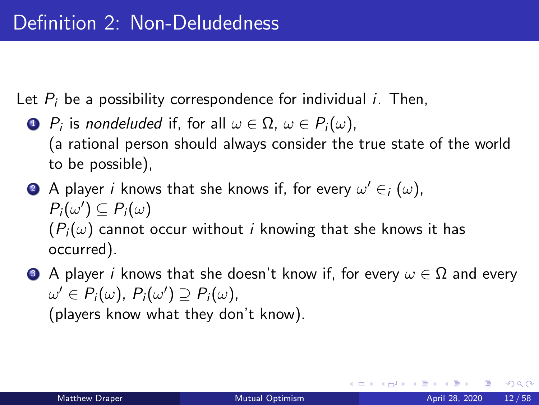Let  $P_i$  be a possibility correspondence for individual *i*. Then,

- $\textbf{1} \ \ P_i$  is nondeluded if, for all  $\omega \in \Omega, \ \omega \in P_i(\omega),$ (a rational person should always consider the true state of the world to be possible),
- $\bullet$  A player  $i$  knows that she knows if, for every  $\omega' \in_{i} (\omega)$ ,  $P_i(\omega') \subseteq P_i(\omega)$  $(P_i(\omega))$  cannot occur without *i* knowing that she knows it has occurred).
- **3** A player i knows that she doesn't know if, for every  $\omega \in \Omega$  and every  $\omega' \in P_i(\omega)$ ,  $P_i(\omega') \supseteq P_i(\omega)$ , (players know what they don't know).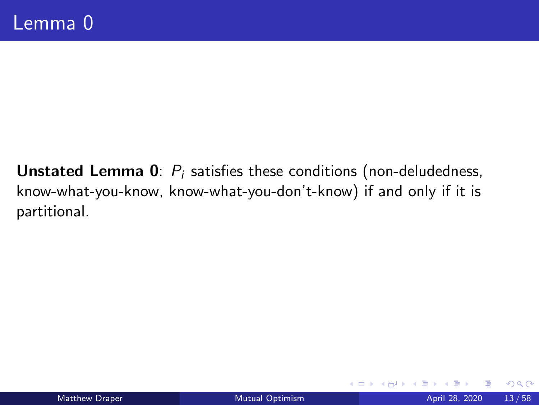**Unstated Lemma 0**:  $P_i$  satisfies these conditions (non-deludedness, know-what-you-know, know-what-you-don't-know) if and only if it is partitional.

4 ロ ▶ 4 何

 $QQ$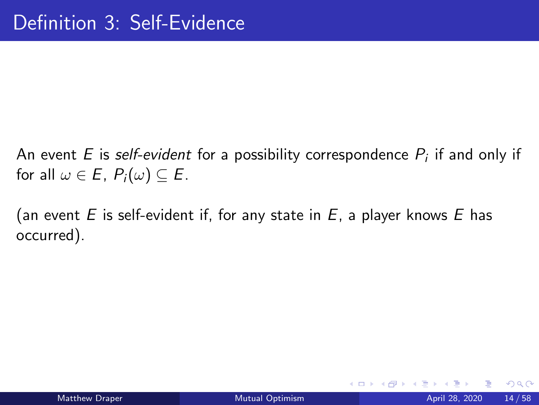An event  $E$  is *self-evident* for a possibility correspondence  $P_i$  if and only if for all  $\omega \in E$ ,  $P_i(\omega) \subseteq E$ .

(an event E is self-evident if, for any state in  $E$ , a player knows E has occurred).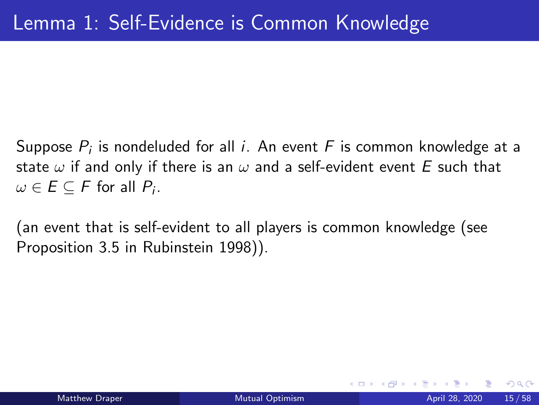Suppose  $P_i$  is nondeluded for all  $i.$  An event  $\digamma$  is common knowledge at a state  $\omega$  if and only if there is an  $\omega$  and a self-evident event E such that  $\omega \in E \subseteq F$  for all  $P_i.$ 

(an event that is self-evident to all players is common knowledge (see Proposition 3.5 in Rubinstein 1998)).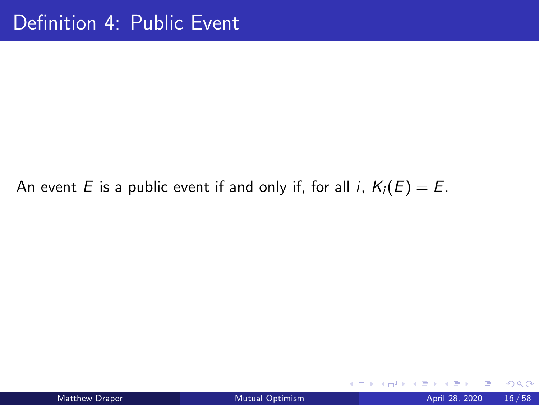#### An event E is a public event if and only if, for all i,  $K_i(E) = E$ .

イロト

∍

 $298$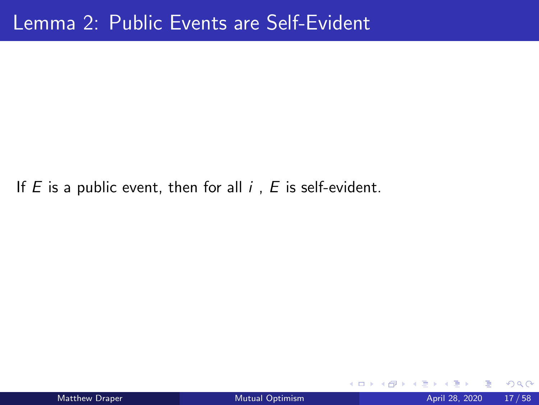If  $E$  is a public event, then for all  $i$ ,  $E$  is self-evident.

4 D F

 $QQ$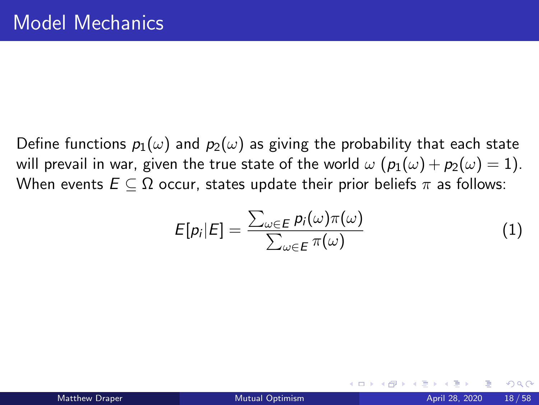Define functions  $p_1(\omega)$  and  $p_2(\omega)$  as giving the probability that each state will prevail in war, given the true state of the world  $\omega$   $(p_1(\omega) + p_2(\omega) = 1)$ . When events  $E \subseteq \Omega$  occur, states update their prior beliefs  $\pi$  as follows:

$$
E[p_i|E] = \frac{\sum_{\omega \in E} p_i(\omega)\pi(\omega)}{\sum_{\omega \in E} \pi(\omega)}
$$
(1)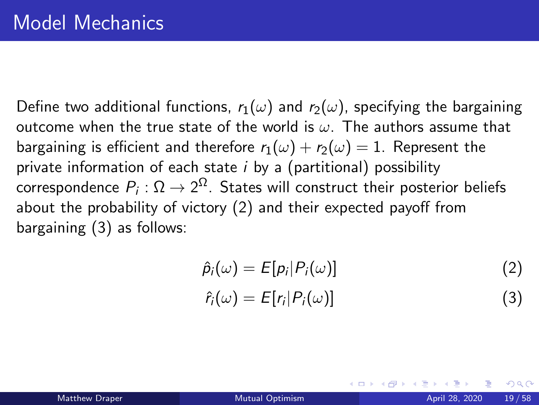Define two additional functions,  $r_1(\omega)$  and  $r_2(\omega)$ , specifying the bargaining outcome when the true state of the world is  $\omega$ . The authors assume that bargaining is efficient and therefore  $r_1(\omega) + r_2(\omega) = 1$ . Represent the private information of each state  $i$  by a (partitional) possibility correspondence  $P_i:\Omega\to 2^{\Omega}.$  States will construct their posterior beliefs about the probability of victory (2) and their expected payoff from bargaining (3) as follows:

$$
\hat{p}_i(\omega) = E[p_i|P_i(\omega)] \tag{2}
$$

$$
\hat{r}_i(\omega) = E[r_i|P_i(\omega)] \tag{3}
$$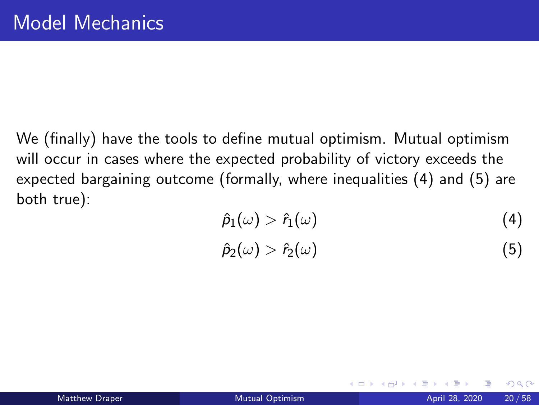We (finally) have the tools to define mutual optimism. Mutual optimism will occur in cases where the expected probability of victory exceeds the expected bargaining outcome (formally, where inequalities (4) and (5) are both true):

$$
\hat{\rho}_1(\omega) > \hat{r}_1(\omega) \tag{4}
$$

$$
\hat{p}_2(\omega) > \hat{r}_2(\omega) \tag{5}
$$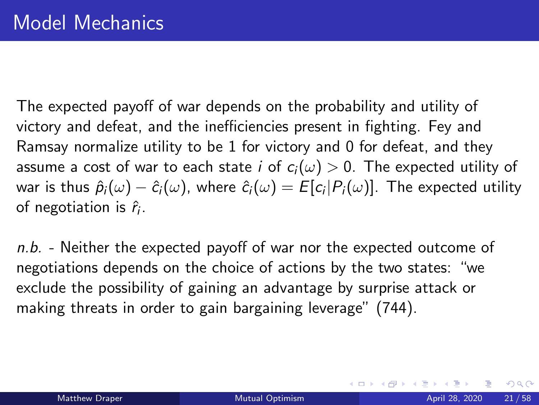The expected payoff of war depends on the probability and utility of victory and defeat, and the inefficiencies present in fighting. Fey and Ramsay normalize utility to be 1 for victory and 0 for defeat, and they assume a cost of war to each state i of  $c_i(\omega) > 0$ . The expected utility of war is thus  $\hat\rho_i(\omega)-\hat c_i(\omega)$ , where  $\hat c_i(\omega)=E[c_i|P_i(\omega)]$ . The expected utility of negotiation is  $\hat{r}_i$ .

 $n.b.$  - Neither the expected payoff of war nor the expected outcome of negotiations depends on the choice of actions by the two states: "we exclude the possibility of gaining an advantage by surprise attack or making threats in order to gain bargaining leverage" (744).

 $QQ$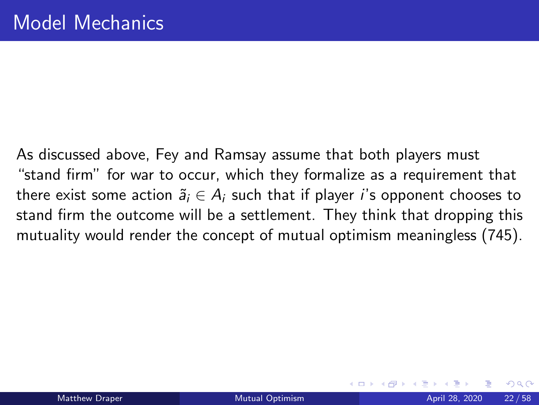As discussed above, Fey and Ramsay assume that both players must "stand firm" for war to occur, which they formalize as a requirement that there exist some action  $\tilde{a}_i \in A_i$  such that if player *i*'s opponent chooses to stand firm the outcome will be a settlement. They think that dropping this mutuality would render the concept of mutual optimism meaningless (745).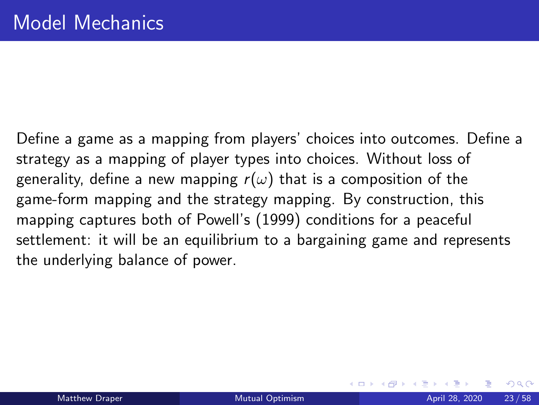Define a game as a mapping from players' choices into outcomes. Define a strategy as a mapping of player types into choices. Without loss of generality, define a new mapping  $r(\omega)$  that is a composition of the game-form mapping and the strategy mapping. By construction, this mapping captures both of Powell's (1999) conditions for a peaceful settlement: it will be an equilibrium to a bargaining game and represents the underlying balance of power.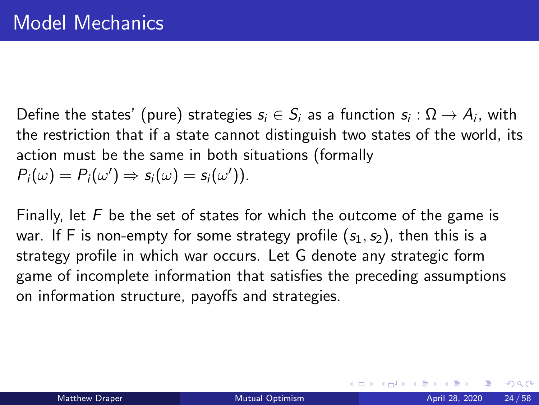Define the states' (pure) strategies  $s_i \in S_i$  as a function  $s_i : \Omega \rightarrow A_i$ , with the restriction that if a state cannot distinguish two states of the world, its action must be the same in both situations (formally  $P_i(\omega) = P_i(\omega') \Rightarrow s_i(\omega) = s_i(\omega')$ .

Finally, let  $F$  be the set of states for which the outcome of the game is war. If F is non-empty for some strategy profile  $(s_1, s_2)$ , then this is a strategy profile in which war occurs. Let G denote any strategic form game of incomplete information that satisfies the preceding assumptions on information structure, payoffs and strategies.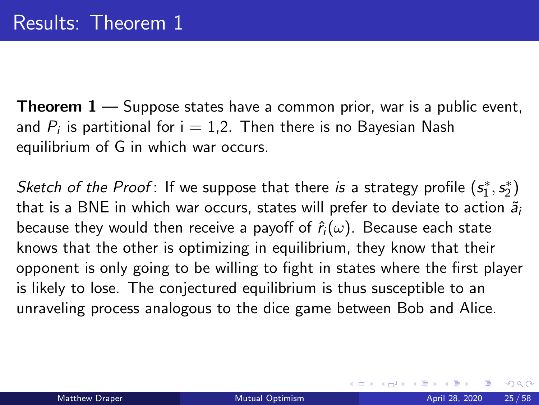**Theorem**  $1 -$  Suppose states have a common prior, war is a public event, and  $P_i$  is partitional for i  $= 1.2$ . Then there is no Bayesian Nash equilibrium of G in which war occurs.

Sketch of the Proof: If we suppose that there is a strategy profile  $(s_1^*,s_2^*)$ that is a BNE in which war occurs, states will prefer to deviate to action  $\tilde{a}_i$ because they would then receive a payoff of  $\hat{r}_i(\omega)$ . Because each state knows that the other is optimizing in equilibrium, they know that their opponent is only going to be willing to fight in states where the first player is likely to lose. The conjectured equilibrium is thus susceptible to an unraveling process analogous to the dice game between Bob and Alice.

 $QQ$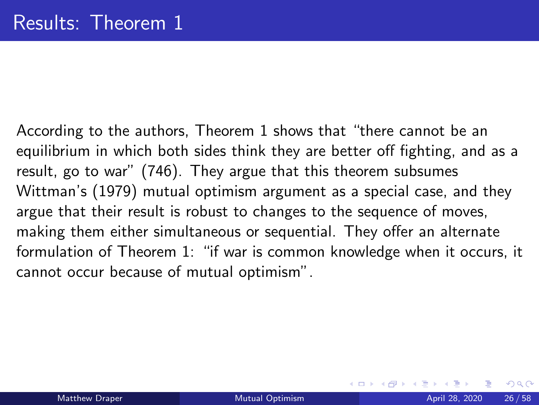According to the authors, Theorem 1 shows that "there cannot be an equilibrium in which both sides think they are better off fighting, and as a result, go to war" (746). They argue that this theorem subsumes Wittman's (1979) mutual optimism argument as a special case, and they argue that their result is robust to changes to the sequence of moves, making them either simultaneous or sequential. They offer an alternate formulation of Theorem 1: "if war is common knowledge when it occurs, it cannot occur because of mutual optimism".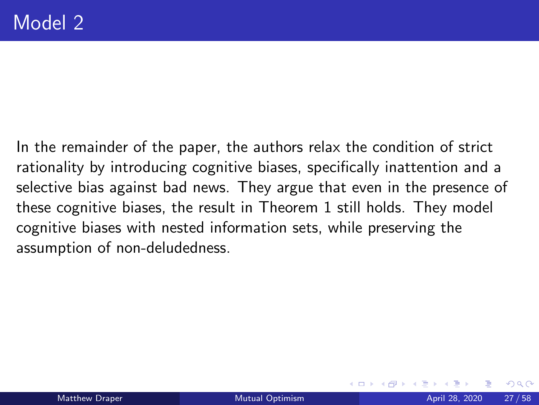In the remainder of the paper, the authors relax the condition of strict rationality by introducing cognitive biases, specifically inattention and a selective bias against bad news. They argue that even in the presence of these cognitive biases, the result in Theorem 1 still holds. They model cognitive biases with nested information sets, while preserving the assumption of non-deludedness.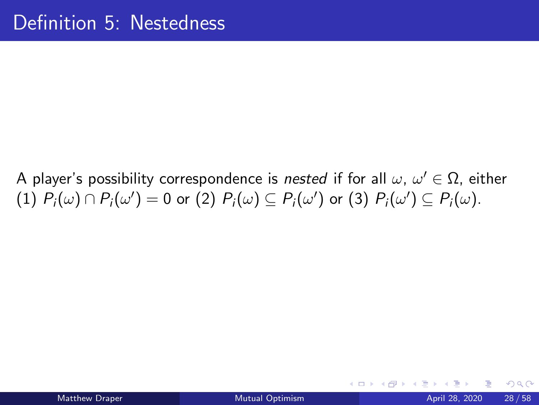A player's possibility correspondence is *nested* if for all  $\omega, \, \omega' \in \Omega,$  either  $(1)$   $P_i(\omega) \cap P_i(\omega') = 0$  or  $(2)$   $P_i(\omega) \subseteq P_i(\omega')$  or  $(3)$   $P_i(\omega') \subseteq P_i(\omega)$ .

4 D F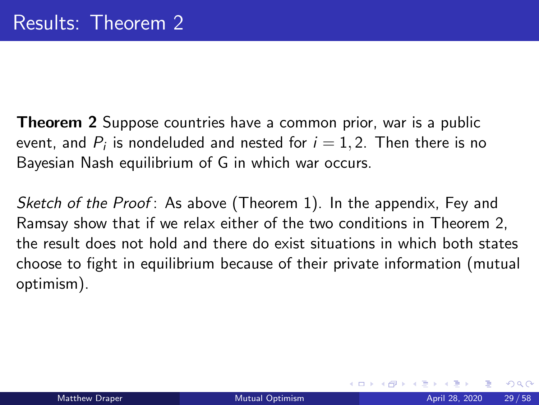**Theorem 2** Suppose countries have a common prior, war is a public event, and  $P_i$  is nondeluded and nested for  $i=1,2$ . Then there is no Bayesian Nash equilibrium of G in which war occurs.

Sketch of the Proof: As above (Theorem 1). In the appendix, Fey and Ramsay show that if we relax either of the two conditions in Theorem 2, the result does not hold and there do exist situations in which both states choose to fight in equilibrium because of their private information (mutual optimism).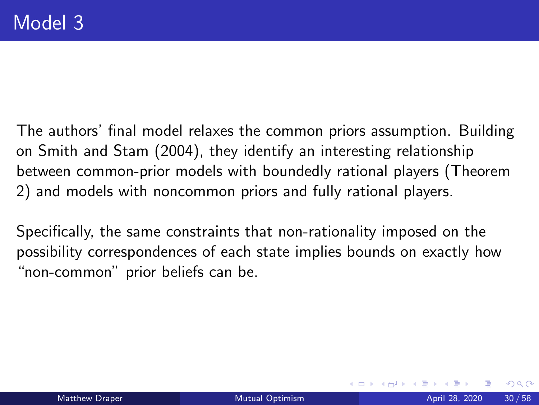The authors' final model relaxes the common priors assumption. Building on Smith and Stam (2004), they identify an interesting relationship between common-prior models with boundedly rational players (Theorem 2) and models with noncommon priors and fully rational players.

Specifically, the same constraints that non-rationality imposed on the possibility correspondences of each state implies bounds on exactly how "non-common" prior beliefs can be.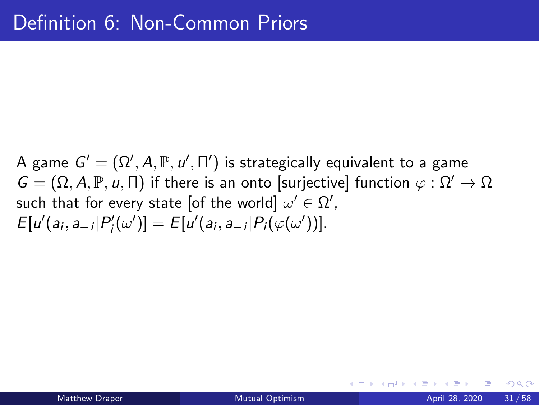A game  $G' = (\Omega', A, \mathbb{P}, u', \Pi')$  is strategically equivalent to a game  $G = (\Omega, A, \mathbb{P}, u, \Pi)$  if there is an onto [surjective] function  $\varphi : \Omega' \to \Omega$ such that for every state [of the world]  $\omega' \in \Omega'$ ,  $E[u'(a_i, a_{-i}|P'_i(\omega')] = E[u'(a_i, a_{-i}|P_i(\varphi(\omega'))].$ 

 $QQQ$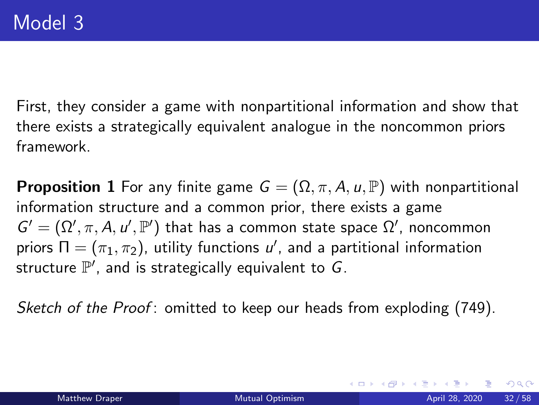First, they consider a game with nonpartitional information and show that there exists a strategically equivalent analogue in the noncommon priors framework.

**Proposition 1** For any finite game  $G = (\Omega, \pi, A, u, \mathbb{P})$  with nonpartitional information structure and a common prior, there exists a game  $G' = (\Omega', \pi, A, u', \mathbb{P}')$  that has a common state space  $\Omega'$ , noncommon priors  $\Pi=(\pi_1,\pi_2)$ , utility functions  $u'$ , and a partitional information structure  $\mathbb{P}',$  and is strategically equivalent to  $G.$ 

Sketch of the Proof: omitted to keep our heads from exploding (749).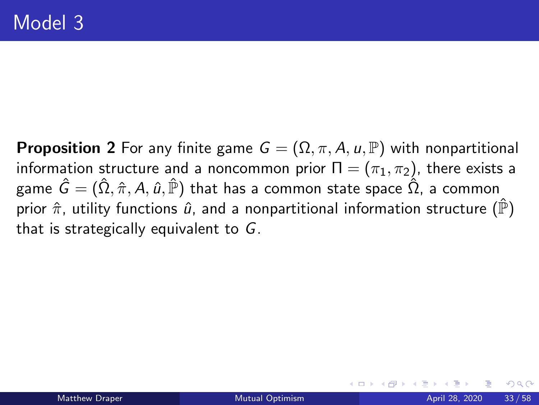**Proposition 2** For any finite game  $G = (\Omega, \pi, A, u, \mathbb{P})$  with nonpartitional information structure and a noncommon prior  $\Pi = (\pi_1, \pi_2)$ , there exists a game  $\hat{G} = (\hat{\Omega}, \hat{\pi}, A, \hat{u}, \hat{\mathbb{P}})$  that has a common state space  $\hat{\Omega}$ , a common prior  $\hat{\pi}$ , utility functions  $\hat{u}$ , and a nonpartitional information structure ( $\hat{P}$ ) that is strategically equivalent to G.

つへへ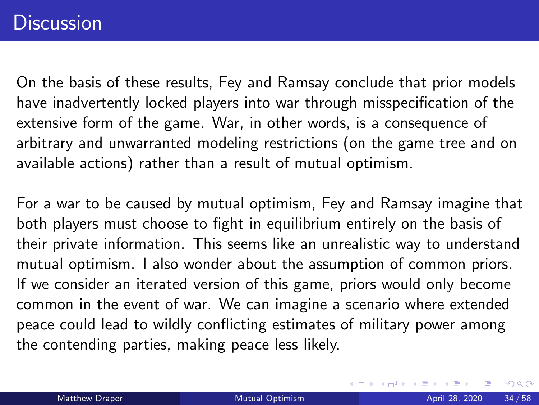On the basis of these results, Fey and Ramsay conclude that prior models have inadvertently locked players into war through misspecification of the extensive form of the game. War, in other words, is a consequence of arbitrary and unwarranted modeling restrictions (on the game tree and on available actions) rather than a result of mutual optimism.

For a war to be caused by mutual optimism, Fey and Ramsay imagine that both players must choose to fight in equilibrium entirely on the basis of their private information. This seems like an unrealistic way to understand mutual optimism. I also wonder about the assumption of common priors. If we consider an iterated version of this game, priors would only become common in the event of war. We can imagine a scenario where extended peace could lead to wildly conflicting estimates of military power among the contending parties, making peace less likely.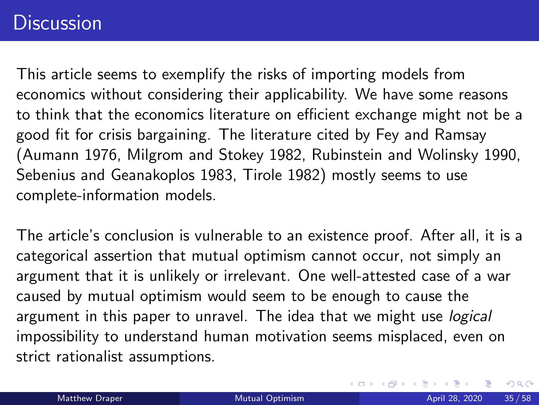## **Discussion**

This article seems to exemplify the risks of importing models from economics without considering their applicability. We have some reasons to think that the economics literature on efficient exchange might not be a good fit for crisis bargaining. The literature cited by Fey and Ramsay (Aumann 1976, Milgrom and Stokey 1982, Rubinstein and Wolinsky 1990, Sebenius and Geanakoplos 1983, Tirole 1982) mostly seems to use complete-information models.

The article's conclusion is vulnerable to an existence proof. After all, it is a categorical assertion that mutual optimism cannot occur, not simply an argument that it is unlikely or irrelevant. One well-attested case of a war caused by mutual optimism would seem to be enough to cause the argument in this paper to unravel. The idea that we might use *logical* impossibility to understand human motivation seems misplaced, even on strict rationalist assumptions.

 $\Omega$ 

イロト イ押ト イヨト イヨ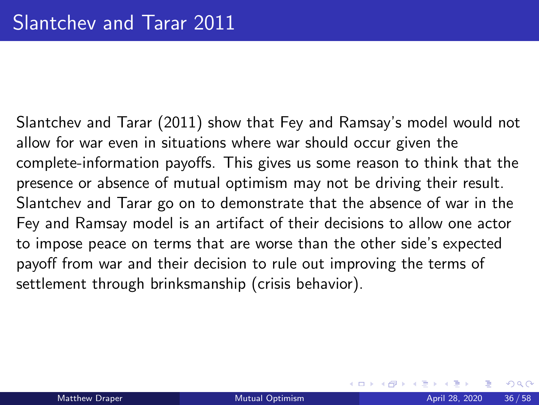Slantchev and Tarar (2011) show that Fey and Ramsay's model would not allow for war even in situations where war should occur given the complete-information payoffs. This gives us some reason to think that the presence or absence of mutual optimism may not be driving their result. Slantchev and Tarar go on to demonstrate that the absence of war in the Fey and Ramsay model is an artifact of their decisions to allow one actor to impose peace on terms that are worse than the other side's expected payoff from war and their decision to rule out improving the terms of settlement through brinksmanship (crisis behavior).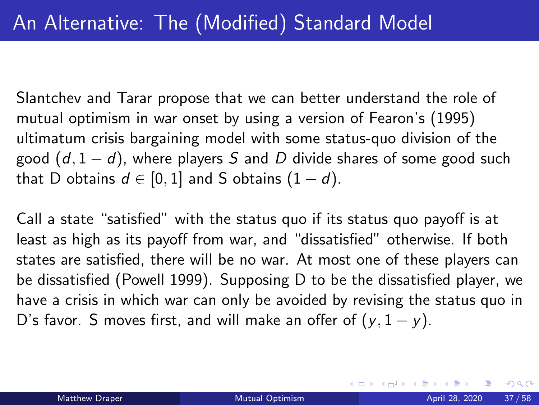Slantchev and Tarar propose that we can better understand the role of mutual optimism in war onset by using a version of Fearon's (1995) ultimatum crisis bargaining model with some status-quo division of the good  $(d, 1-d)$ , where players S and D divide shares of some good such that D obtains  $d \in [0,1]$  and S obtains  $(1-d)$ .

Call a state "satisfied" with the status quo if its status quo payoff is at least as high as its payoff from war, and "dissatisfied" otherwise. If both states are satisfied, there will be no war. At most one of these players can be dissatisfied (Powell 1999). Supposing D to be the dissatisfied player, we have a crisis in which war can only be avoided by revising the status quo in D's favor. S moves first, and will make an offer of  $(y, 1 - y)$ .

 $QQ$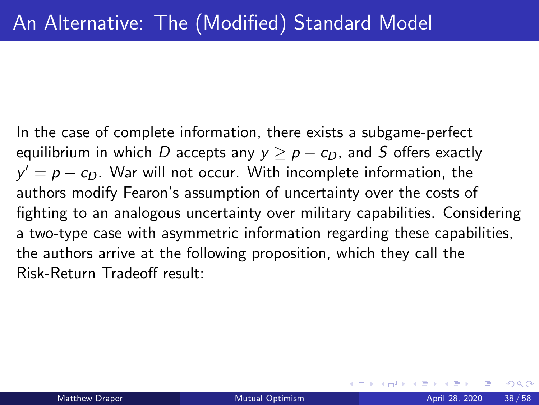In the case of complete information, there exists a subgame-perfect equilibrium in which D accepts any  $y > p - c_D$ , and S offers exactly  $y' = p - c_D$ . War will not occur. With incomplete information, the authors modify Fearon's assumption of uncertainty over the costs of fighting to an analogous uncertainty over military capabilities. Considering a two-type case with asymmetric information regarding these capabilities, the authors arrive at the following proposition, which they call the Risk-Return Tradeoff result: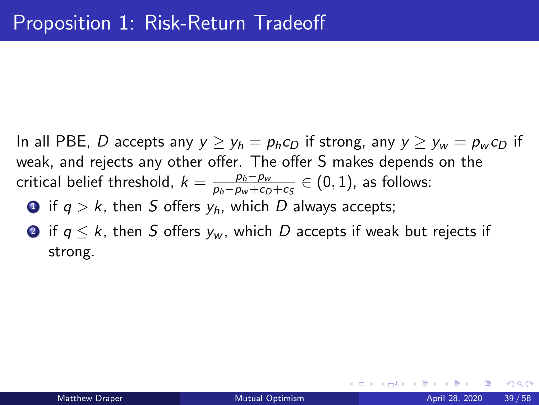In all PBE, D accepts any  $y \ge y_h = p_h c_D$  if strong, any  $y \ge y_w = p_w c_D$  if weak, and rejects any other offer. The offer S makes depends on the critical belief threshold,  $k = \frac{p_h - p_w}{p_h - p_w + Cr}$  $\frac{p_h-p_w}{p_h-p_w+c_D+c_S}\in(0,1)$ , as follows:

**1** if  $q > k$ , then S offers  $y_h$ , which D always accepts;

**2** if  $q \le k$ , then S offers  $y_w$ , which D accepts if weak but rejects if strong.

 $200$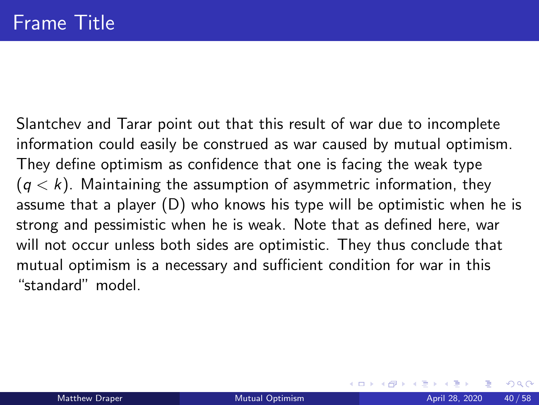Slantchev and Tarar point out that this result of war due to incomplete information could easily be construed as war caused by mutual optimism. They define optimism as confidence that one is facing the weak type  $(q < k)$ . Maintaining the assumption of asymmetric information, they assume that a player (D) who knows his type will be optimistic when he is strong and pessimistic when he is weak. Note that as defined here, war will not occur unless both sides are optimistic. They thus conclude that mutual optimism is a necessary and sufficient condition for war in this "standard" model.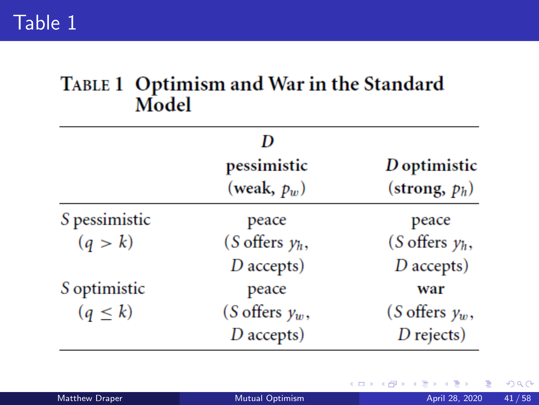## TABLE 1 Optimism and War in the Standard Model

|               | pessimistic<br>(weak, $p_w$ ) | D optimistic<br>(strong, $p_h$ ) |
|---------------|-------------------------------|----------------------------------|
|               |                               |                                  |
| S pessimistic | peace                         | peace                            |
| (q > k)       | (S offers $y_h$ ,             | (S offers $y_h$ ,                |
|               | $D$ accepts)                  | $D$ accepts)                     |
| S optimistic  | peace                         | war                              |
| $(q \leq k)$  | (S offers $y_w$ ,             | (S offers $y_w$ ,                |
|               | $D$ accepts)                  | $D$ rejects)                     |

∍

**4 ロ ▶ 4 冊** 

 $299$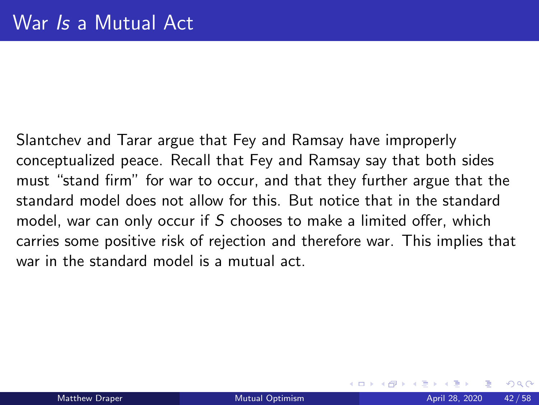Slantchev and Tarar argue that Fey and Ramsay have improperly conceptualized peace. Recall that Fey and Ramsay say that both sides must "stand firm" for war to occur, and that they further argue that the standard model does not allow for this. But notice that in the standard model, war can only occur if S chooses to make a limited offer, which carries some positive risk of rejection and therefore war. This implies that war in the standard model is a mutual act.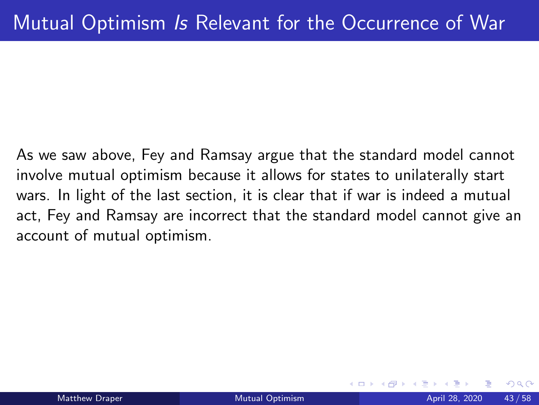As we saw above, Fey and Ramsay argue that the standard model cannot involve mutual optimism because it allows for states to unilaterally start wars. In light of the last section, it is clear that if war is indeed a mutual act, Fey and Ramsay are incorrect that the standard model cannot give an account of mutual optimism.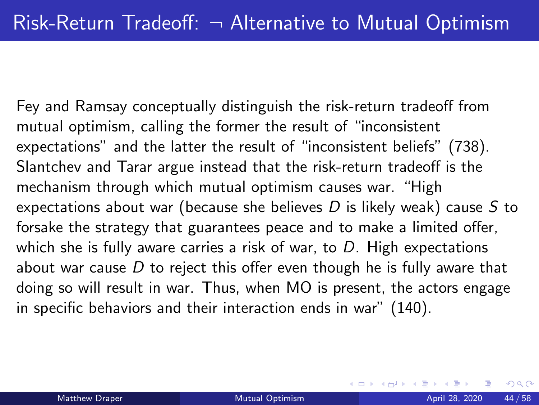Fey and Ramsay conceptually distinguish the risk-return tradeoff from mutual optimism, calling the former the result of "inconsistent expectations" and the latter the result of "inconsistent beliefs" (738). Slantchev and Tarar argue instead that the risk-return tradeoff is the mechanism through which mutual optimism causes war. "High expectations about war (because she believes  $D$  is likely weak) cause  $S$  to forsake the strategy that guarantees peace and to make a limited offer, which she is fully aware carries a risk of war, to  $D$ . High expectations about war cause  $D$  to reject this offer even though he is fully aware that doing so will result in war. Thus, when MO is present, the actors engage in specific behaviors and their interaction ends in war" (140).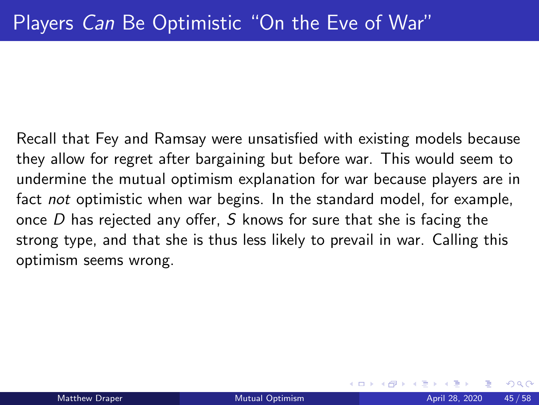Recall that Fey and Ramsay were unsatisfied with existing models because they allow for regret after bargaining but before war. This would seem to undermine the mutual optimism explanation for war because players are in fact not optimistic when war begins. In the standard model, for example, once  $D$  has rejected any offer,  $S$  knows for sure that she is facing the strong type, and that she is thus less likely to prevail in war. Calling this optimism seems wrong.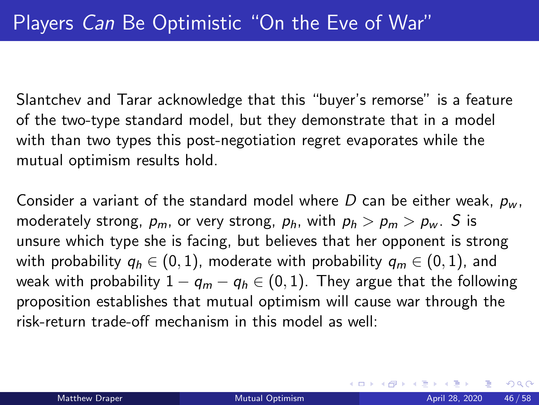Slantchev and Tarar acknowledge that this "buyer's remorse" is a feature of the two-type standard model, but they demonstrate that in a model with than two types this post-negotiation regret evaporates while the mutual optimism results hold.

Consider a variant of the standard model where D can be either weak,  $p_w$ , moderately strong,  $p_m$ , or very strong,  $p_h$ , with  $p_h > p_m > p_w$ . S is unsure which type she is facing, but believes that her opponent is strong with probability  $q_h \in (0,1)$ , moderate with probability  $q_m \in (0,1)$ , and weak with probability  $1 - q_m - q_h \in (0, 1)$ . They argue that the following proposition establishes that mutual optimism will cause war through the risk-return trade-off mechanism in this model as well: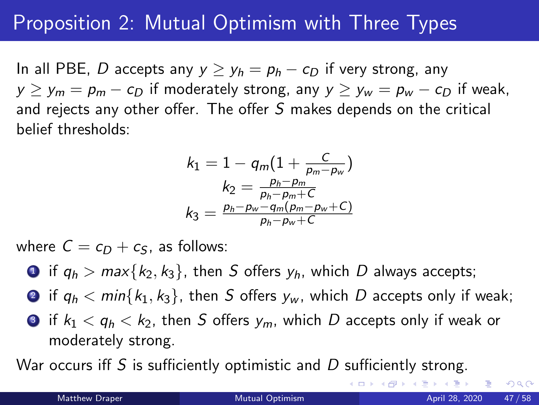# Proposition 2: Mutual Optimism with Three Types

In all PBE, D accepts any  $y \ge y_h = p_h - c_D$  if very strong, any  $y > y_m = p_m - c_D$  if moderately strong, any  $y > y_w = p_w - c_D$  if weak, and rejects any other offer. The offer S makes depends on the critical belief thresholds:

$$
k_1 = 1 - q_m \left( 1 + \frac{C}{p_m - p_w} \right)
$$
  
\n
$$
k_2 = \frac{p_h - p_m}{p_h - p_m + C}
$$
  
\n
$$
k_3 = \frac{p_h - p_w - q_m (p_m - p_w + C)}{p_h - p_w + C}
$$

where  $C = c_D + c_S$ , as follows:

- **1** if  $q_h > max\{k_2, k_3\}$ , then S offers  $y_h$ , which D always accepts;
- **2** if  $q_b < min\{k_1, k_3\}$ , then S offers  $y_w$ , which D accepts only if weak;
- **3** if  $k_1 < q_h < k_2$ , then S offers  $y_m$ , which D accepts only if weak or moderately strong.

War occurs iff S is sufficiently optimistic and  $D$  sufficiently strong.

( □ ) ( <sub>□</sub>

 $\equiv$   $\rightarrow$   $\equiv$   $\land$   $\land$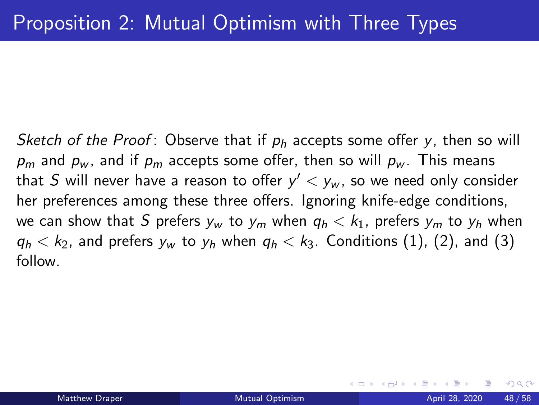Sketch of the Proof: Observe that if  $p_h$  accepts some offer y, then so will  $p_m$  and  $p_w$ , and if  $p_m$  accepts some offer, then so will  $p_w$ . This means that  $S$  will never have a reason to offer  $y^\prime < y_w$ , so we need only consider her preferences among these three offers. Ignoring knife-edge conditions, we can show that S prefers  $y_w$  to  $y_m$  when  $q_h < k_1$ , prefers  $y_m$  to  $y_h$  when  $q_h < k_2$ , and prefers  $y_w$  to  $y_h$  when  $q_h < k_3$ . Conditions (1), (2), and (3) follow.

つへへ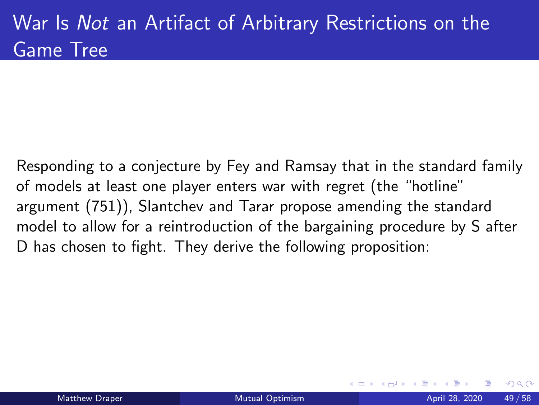Responding to a conjecture by Fey and Ramsay that in the standard family of models at least one player enters war with regret (the "hotline" argument (751)), Slantchev and Tarar propose amending the standard model to allow for a reintroduction of the bargaining procedure by S after D has chosen to fight. They derive the following proposition: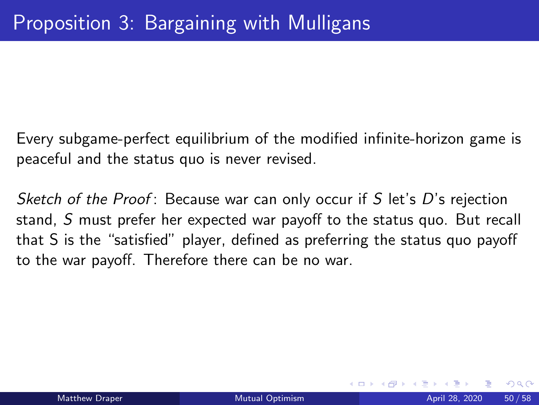Every subgame-perfect equilibrium of the modified infinite-horizon game is peaceful and the status quo is never revised.

Sketch of the Proof: Because war can only occur if S let's D's rejection stand, S must prefer her expected war payoff to the status quo. But recall that S is the "satisfied" player, defined as preferring the status quo payoff to the war payoff. Therefore there can be no war.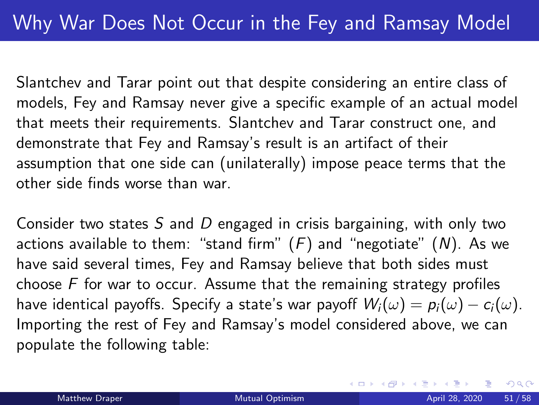Slantchev and Tarar point out that despite considering an entire class of models, Fey and Ramsay never give a specific example of an actual model that meets their requirements. Slantchev and Tarar construct one, and demonstrate that Fey and Ramsay's result is an artifact of their assumption that one side can (unilaterally) impose peace terms that the other side finds worse than war.

Consider two states  $S$  and  $D$  engaged in crisis bargaining, with only two actions available to them: "stand firm"  $(F)$  and "negotiate"  $(N)$ . As we have said several times, Fey and Ramsay believe that both sides must choose  $F$  for war to occur. Assume that the remaining strategy profiles have identical payoffs. Specify a state's war payoff  $W_i(\omega) = p_i(\omega) - c_i(\omega)$ . Importing the rest of Fey and Ramsay's model considered above, we can populate the following table: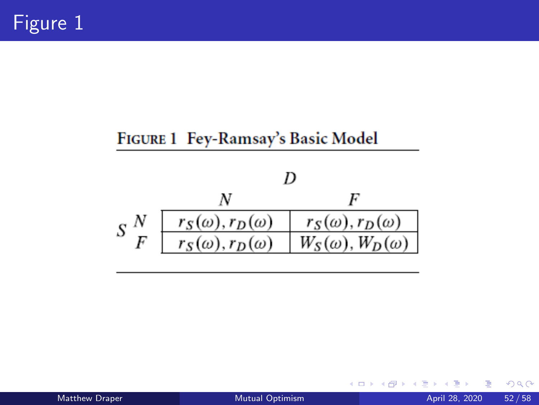#### FIGURE 1 Fey-Ramsay's Basic Model



イロト

Matthew Draper **[Mutual Optimism](#page-0-0)** April 28, 2020 52 / 58

Þ

 $299$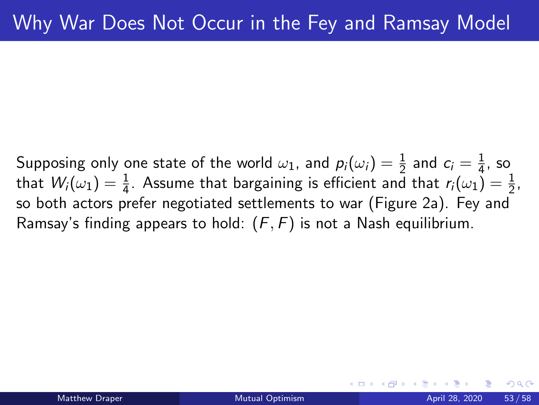Supposing only one state of the world  $\omega_1$ , and  $p_i(\omega_i) = \frac{1}{2}$  and  $c_i = \frac{1}{4}$  $\frac{1}{4}$ , so that  $W_i(\omega_1) = \frac{1}{4}$ . Assume that bargaining is efficient and that  $r_i(\omega_1) = \frac{1}{2}$ , so both actors prefer negotiated settlements to war (Figure 2a). Fey and Ramsay's finding appears to hold:  $(F, F)$  is not a Nash equilibrium.

 $200$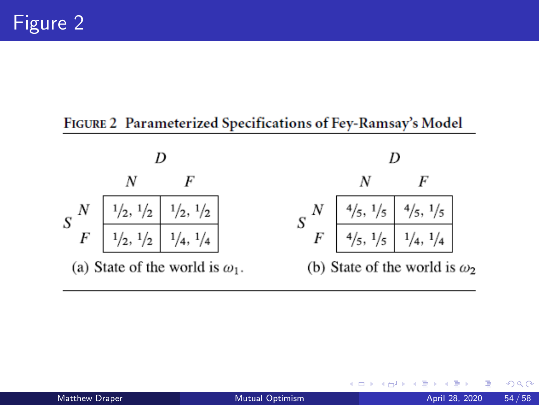#### FIGURE 2 Parameterized Specifications of Fey-Ramsay's Model



4 D F

 $QQ$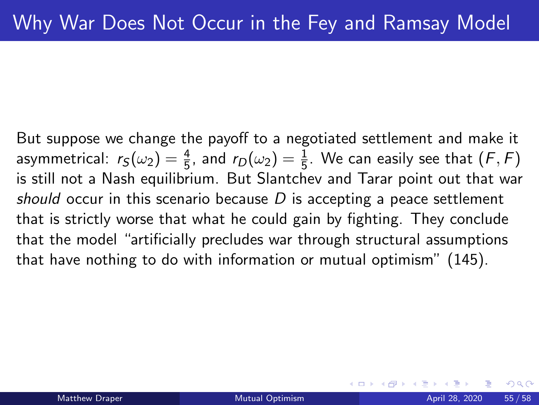But suppose we change the payoff to a negotiated settlement and make it asymmetrical:  $r_S(\omega_2)=\frac{4}{5}$ , and  $r_D(\omega_2)=\frac{1}{5}$ . We can easily see that  $(\digamma,\digamma)$ is still not a Nash equilibrium. But Slantchev and Tarar point out that war should occur in this scenario because  $D$  is accepting a peace settlement that is strictly worse that what he could gain by fighting. They conclude that the model "artificially precludes war through structural assumptions that have nothing to do with information or mutual optimism" (145).

つひひ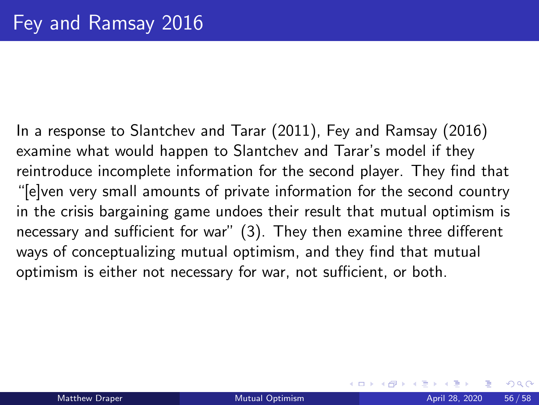In a response to Slantchev and Tarar (2011), Fey and Ramsay (2016) examine what would happen to Slantchev and Tarar's model if they reintroduce incomplete information for the second player. They find that "[e]ven very small amounts of private information for the second country in the crisis bargaining game undoes their result that mutual optimism is necessary and sufficient for war" (3). They then examine three different ways of conceptualizing mutual optimism, and they find that mutual optimism is either not necessary for war, not sufficient, or both.

 $200$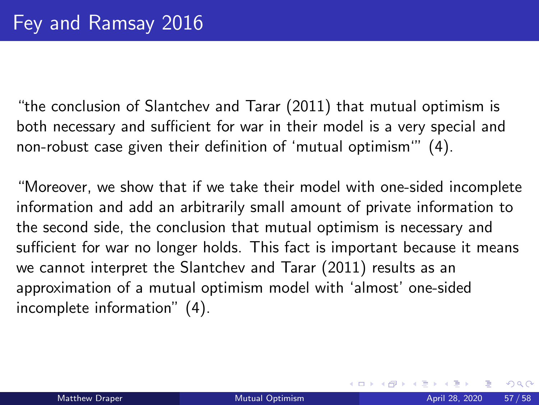"the conclusion of Slantchev and Tarar (2011) that mutual optimism is both necessary and sufficient for war in their model is a very special and non-robust case given their definition of 'mutual optimism'" (4).

"Moreover, we show that if we take their model with one-sided incomplete information and add an arbitrarily small amount of private information to the second side, the conclusion that mutual optimism is necessary and sufficient for war no longer holds. This fact is important because it means we cannot interpret the Slantchev and Tarar (2011) results as an approximation of a mutual optimism model with 'almost' one-sided incomplete information" (4).